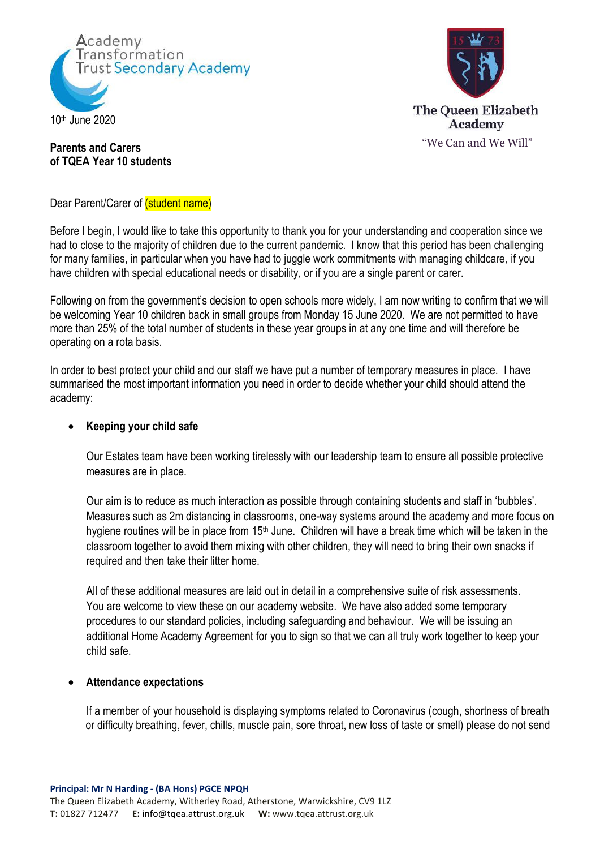



## **Parents and Carers of TQEA Year 10 students**

Dear Parent/Carer of (student name)

Before I begin, I would like to take this opportunity to thank you for your understanding and cooperation since we had to close to the majority of children due to the current pandemic. I know that this period has been challenging for many families, in particular when you have had to juggle work commitments with managing childcare, if you have children with special educational needs or disability, or if you are a single parent or carer.

Following on from the government's decision to open schools more widely, I am now writing to confirm that we will be welcoming Year 10 children back in small groups from Monday 15 June 2020. We are not permitted to have more than 25% of the total number of students in these year groups in at any one time and will therefore be operating on a rota basis.

In order to best protect your child and our staff we have put a number of temporary measures in place. I have summarised the most important information you need in order to decide whether your child should attend the academy:

# **•** Keeping your child safe

Our Estates team have been working tirelessly with our leadership team to ensure all possible protective measures are in place.

Our aim is to reduce as much interaction as possible through containing students and staff in 'bubbles'. Measures such as 2m distancing in classrooms, one-way systems around the academy and more focus on hygiene routines will be in place from 15<sup>th</sup> June. Children will have a break time which will be taken in the classroom together to avoid them mixing with other children, they will need to bring their own snacks if required and then take their litter home.

All of these additional measures are laid out in detail in a comprehensive suite of risk assessments. You are welcome to view these on our academy website. We have also added some temporary procedures to our standard policies, including safeguarding and behaviour. We will be issuing an additional Home Academy Agreement for you to sign so that we can all truly work together to keep your child safe.

### **Attendance expectations**

If a member of your household is displaying symptoms related to Coronavirus (cough, shortness of breath or difficulty breathing, fever, chills, muscle pain, sore throat, new loss of taste or smell) please do not send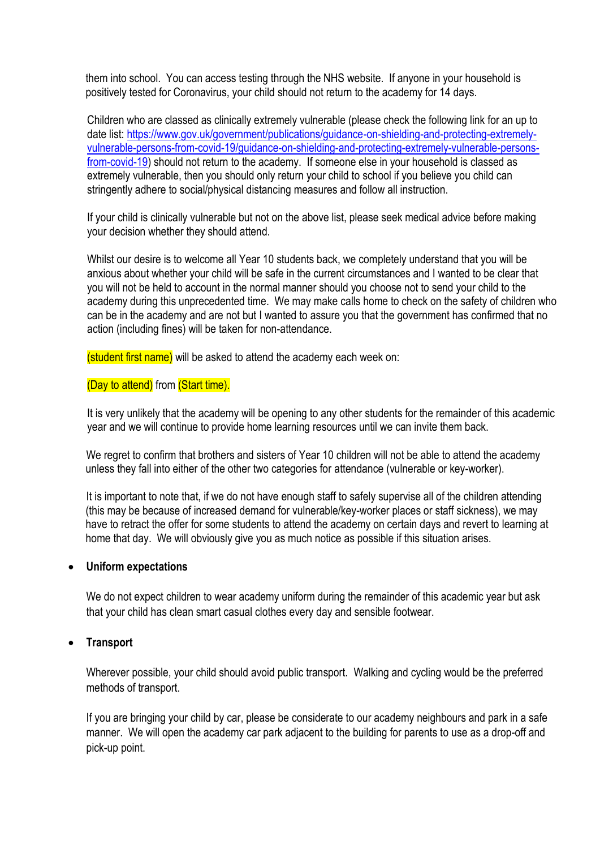them into school. You can access testing through the NHS website. If anyone in your household is positively tested for Coronavirus, your child should not return to the academy for 14 days.

Children who are classed as clinically extremely vulnerable (please check the following link for an up to date list: [https://www.gov.uk/government/publications/guidance-on-shielding-and-protecting-extremely](https://www.gov.uk/government/publications/guidance-on-shielding-and-protecting-extremely-vulnerable-persons-from-covid-19/guidance-on-shielding-and-protecting-extremely-vulnerable-persons-from-covid-19)[vulnerable-persons-from-covid-19/guidance-on-shielding-and-protecting-extremely-vulnerable-persons](https://www.gov.uk/government/publications/guidance-on-shielding-and-protecting-extremely-vulnerable-persons-from-covid-19/guidance-on-shielding-and-protecting-extremely-vulnerable-persons-from-covid-19)[from-covid-19\)](https://www.gov.uk/government/publications/guidance-on-shielding-and-protecting-extremely-vulnerable-persons-from-covid-19/guidance-on-shielding-and-protecting-extremely-vulnerable-persons-from-covid-19) should not return to the academy. If someone else in your household is classed as extremely vulnerable, then you should only return your child to school if you believe you child can stringently adhere to social/physical distancing measures and follow all instruction.

If your child is clinically vulnerable but not on the above list, please seek medical advice before making your decision whether they should attend.

Whilst our desire is to welcome all Year 10 students back, we completely understand that you will be anxious about whether your child will be safe in the current circumstances and I wanted to be clear that you will not be held to account in the normal manner should you choose not to send your child to the academy during this unprecedented time. We may make calls home to check on the safety of children who can be in the academy and are not but I wanted to assure you that the government has confirmed that no action (including fines) will be taken for non-attendance.

(student first name) will be asked to attend the academy each week on:

### (Day to attend) from (Start time).

It is very unlikely that the academy will be opening to any other students for the remainder of this academic year and we will continue to provide home learning resources until we can invite them back.

We regret to confirm that brothers and sisters of Year 10 children will not be able to attend the academy unless they fall into either of the other two categories for attendance (vulnerable or key-worker).

It is important to note that, if we do not have enough staff to safely supervise all of the children attending (this may be because of increased demand for vulnerable/key-worker places or staff sickness), we may have to retract the offer for some students to attend the academy on certain days and revert to learning at home that day. We will obviously give you as much notice as possible if this situation arises.

#### **Uniform expectations**

We do not expect children to wear academy uniform during the remainder of this academic year but ask that your child has clean smart casual clothes every day and sensible footwear.

### **Transport**

Wherever possible, your child should avoid public transport. Walking and cycling would be the preferred methods of transport.

If you are bringing your child by car, please be considerate to our academy neighbours and park in a safe manner. We will open the academy car park adjacent to the building for parents to use as a drop-off and pick-up point.